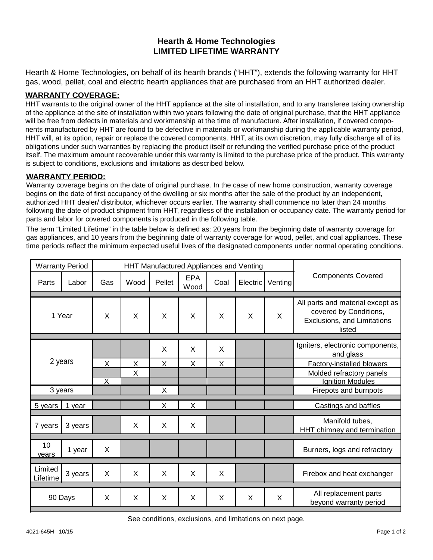# **Hearth & Home Technologies LIMITED LIFETIME WARRANTY**

Hearth & Home Technologies, on behalf of its hearth brands ("HHT"), extends the following warranty for HHT gas, wood, pellet, coal and electric hearth appliances that are purchased from an HHT authorized dealer.

# **WARRANTY COVERAGE:**

HHT warrants to the original owner of the HHT appliance at the site of installation, and to any transferee taking ownership of the appliance at the site of installation within two years following the date of original purchase, that the HHT appliance will be free from defects in materials and workmanship at the time of manufacture. After installation, if covered components manufactured by HHT are found to be defective in materials or workmanship during the applicable warranty period, HHT will, at its option, repair or replace the covered components. HHT, at its own discretion, may fully discharge all of its obligations under such warranties by replacing the product itself or refunding the verified purchase price of the product itself. The maximum amount recoverable under this warranty is limited to the purchase price of the product. This warranty is subject to conditions, exclusions and limitations as described below.

## **WARRANTY PERIOD:**

Warranty coverage begins on the date of original purchase. In the case of new home construction, warranty coverage begins on the date of first occupancy of the dwelling or six months after the sale of the product by an independent, authorized HHT dealer/ distributor, whichever occurs earlier. The warranty shall commence no later than 24 months following the date of product shipment from HHT, regardless of the installation or occupancy date. The warranty period for parts and labor for covered components is produced in the following table.

The term "Limited Lifetime" in the table below is defined as: 20 years from the beginning date of warranty coverage for gas appliances, and 10 years from the beginning date of warranty coverage for wood, pellet, and coal appliances. These time periods reflect the minimum expected useful lives of the designated components under normal operating conditions.

| <b>Warranty Period</b> |         | HHT Manufactured Appliances and Venting |          |        |                    |          |          |         |                                                                                                     |
|------------------------|---------|-----------------------------------------|----------|--------|--------------------|----------|----------|---------|-----------------------------------------------------------------------------------------------------|
| Parts                  | Labor   | Gas                                     | Wood     | Pellet | <b>EPA</b><br>Wood | Coal     | Electric | Venting | <b>Components Covered</b>                                                                           |
| 1 Year                 |         | $\times$                                | $\times$ | X      | $\times$           | $\times$ | X        | X       | All parts and material except as<br>covered by Conditions,<br>Exclusions, and Limitations<br>listed |
| 2 years                |         |                                         |          | X      | X                  | X        |          |         | Igniters, electronic components,<br>and glass                                                       |
|                        |         | X                                       | X        | X      | X                  | X        |          |         | <b>Factory-installed blowers</b>                                                                    |
|                        |         |                                         | X        |        |                    |          |          |         | Molded refractory panels                                                                            |
|                        |         | $\overline{\mathsf{x}}$                 |          |        |                    |          |          |         | <b>Ignition Modules</b>                                                                             |
| 3 years                |         |                                         |          | X      |                    |          |          |         | Firepots and burnpots                                                                               |
| 5 years                | 1 year  |                                         |          | X      | X                  |          |          |         | <b>Castings and baffles</b>                                                                         |
| 7 years                | 3 years |                                         | X        | X      | X                  |          |          |         | Manifold tubes,<br>HHT chimney and termination                                                      |
| 10<br>years            | 1 year  | X                                       |          |        |                    |          |          |         | Burners, logs and refractory                                                                        |
| Limited<br>Lifetime    | 3 years | X                                       | X        | X      | X                  | X        |          |         | Firebox and heat exchanger                                                                          |
| 90 Days                |         | X                                       | X        | X      | X                  | X        | X        | X       | All replacement parts<br>beyond warranty period                                                     |

See conditions, exclusions, and limitations on next page.